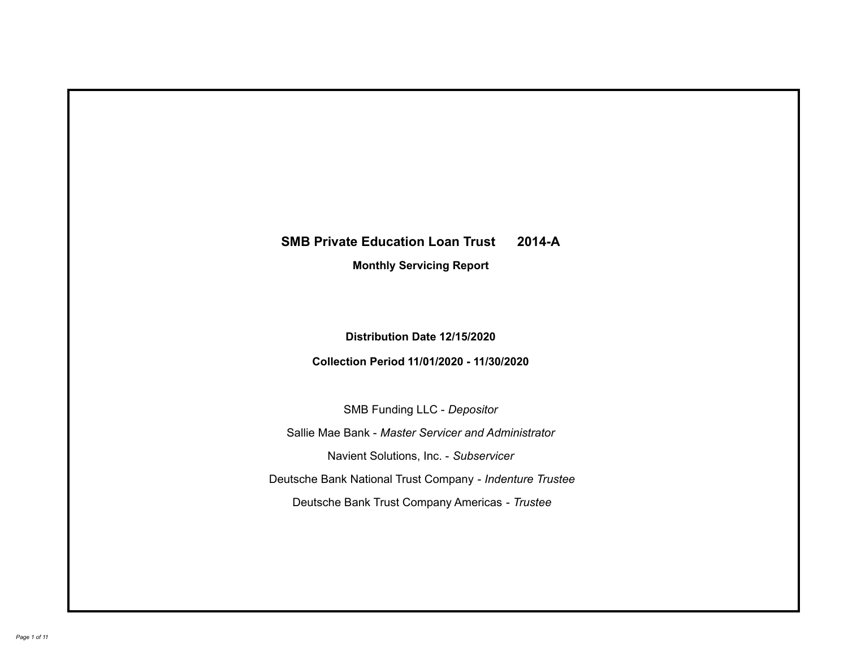# **SMB Private Education Loan Trust 2014-A Monthly Servicing Report**

# **Distribution Date 12/15/2020**

# **Collection Period 11/01/2020 - 11/30/2020**

SMB Funding LLC - *Depositor*

Sallie Mae Bank - *Master Servicer and Administrator*

Navient Solutions, Inc. - *Subservicer*

Deutsche Bank National Trust Company - *Indenture Trustee*

Deutsche Bank Trust Company Americas - *Trustee*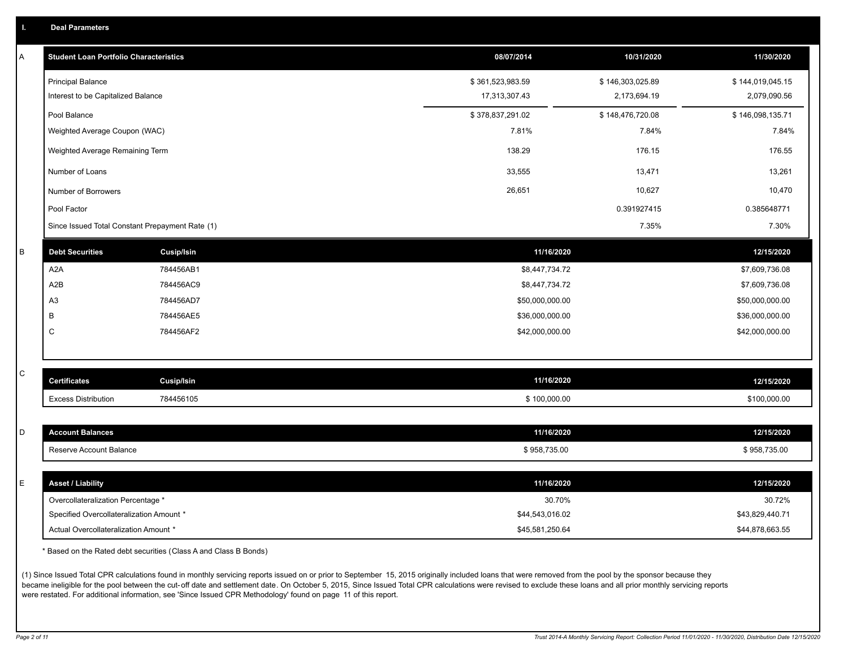|  |  |  | <b>Deal Parameters</b> |
|--|--|--|------------------------|
|--|--|--|------------------------|

| Α | <b>Student Loan Portfolio Characteristics</b>   |                   | 08/07/2014       | 10/31/2020       | 11/30/2020       |
|---|-------------------------------------------------|-------------------|------------------|------------------|------------------|
|   | <b>Principal Balance</b>                        |                   | \$361,523,983.59 | \$146,303,025.89 | \$144,019,045.15 |
|   | Interest to be Capitalized Balance              |                   | 17,313,307.43    | 2,173,694.19     | 2,079,090.56     |
|   | Pool Balance                                    |                   | \$378,837,291.02 | \$148,476,720.08 | \$146,098,135.71 |
|   | Weighted Average Coupon (WAC)                   |                   | 7.81%            | 7.84%            | 7.84%            |
|   | Weighted Average Remaining Term                 |                   | 138.29           | 176.15           | 176.55           |
|   | Number of Loans                                 |                   | 33,555           | 13,471           | 13,261           |
|   | Number of Borrowers                             |                   | 26,651           | 10,627           | 10,470           |
|   | Pool Factor                                     |                   |                  | 0.391927415      | 0.385648771      |
|   | Since Issued Total Constant Prepayment Rate (1) |                   |                  | 7.35%            | 7.30%            |
| B | <b>Debt Securities</b>                          | <b>Cusip/Isin</b> | 11/16/2020       |                  | 12/15/2020       |
|   | A <sub>2</sub> A                                | 784456AB1         | \$8,447,734.72   |                  | \$7,609,736.08   |
|   | A2B                                             | 784456AC9         | \$8,447,734.72   |                  | \$7,609,736.08   |
|   | A <sub>3</sub>                                  | 784456AD7         | \$50,000,000.00  |                  | \$50,000,000.00  |
|   | B                                               | 784456AE5         | \$36,000,000.00  |                  | \$36,000,000.00  |
|   | C                                               | 784456AF2         | \$42,000,000.00  |                  | \$42,000,000.00  |
|   |                                                 |                   |                  |                  |                  |
| C | <b>Certificates</b>                             | <b>Cusip/Isin</b> | 11/16/2020       |                  | 12/15/2020       |
|   | <b>Excess Distribution</b>                      | 784456105         | \$100,000.00     |                  | \$100,000.00     |
|   |                                                 |                   |                  |                  |                  |
| D | <b>Account Balances</b>                         |                   | 11/16/2020       |                  | 12/15/2020       |
|   | Reserve Account Balance                         |                   | \$958,735.00     |                  | \$958,735.00     |
|   |                                                 |                   |                  |                  |                  |
| E | <b>Asset / Liability</b>                        |                   | 11/16/2020       |                  | 12/15/2020       |
|   | Overcollateralization Percentage *              |                   | 30.70%           |                  | 30.72%           |
|   | Specified Overcollateralization Amount *        |                   | \$44,543,016.02  |                  | \$43,829,440.71  |
|   | Actual Overcollateralization Amount *           |                   | \$45,581,250.64  |                  | \$44,878,663.55  |

\* Based on the Rated debt securities (Class A and Class B Bonds)

(1) Since Issued Total CPR calculations found in monthly servicing reports issued on or prior to September 15, 2015 originally included loans that were removed from the pool by the sponsor because they became ineligible for the pool between the cut-off date and settlement date. On October 5, 2015, Since Issued Total CPR calculations were revised to exclude these loans and all prior monthly servicing reports were restated. For additional information, see 'Since Issued CPR Methodology' found on page 11 of this report.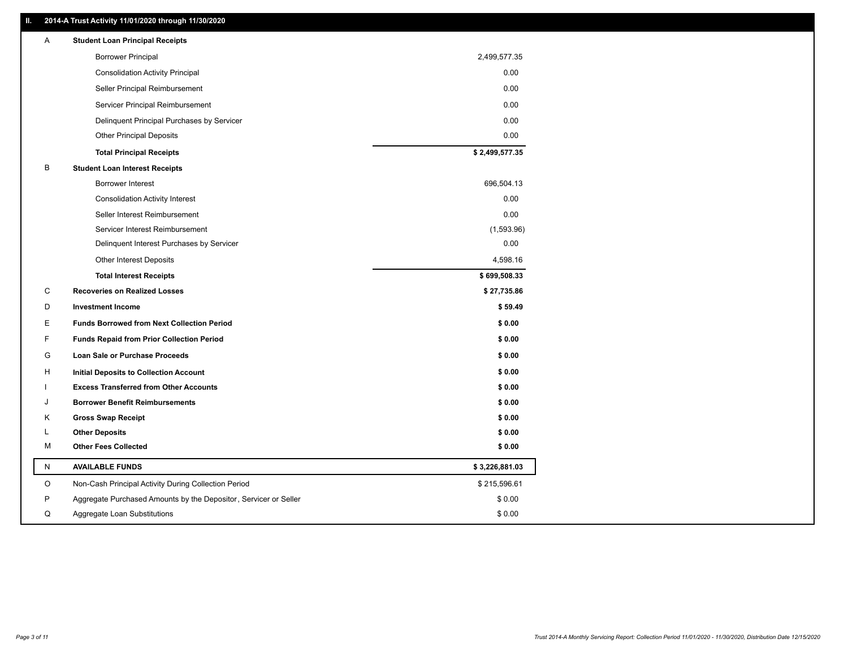### **II. 2014-A Trust Activity 11/01/2020 through 11/30/2020**

| <b>Borrower Principal</b><br>2,499,577.35<br>0.00<br><b>Consolidation Activity Principal</b><br>Seller Principal Reimbursement<br>0.00<br>0.00<br>Servicer Principal Reimbursement<br>0.00<br>Delinquent Principal Purchases by Servicer<br>0.00<br><b>Other Principal Deposits</b><br>\$2,499,577.35<br><b>Total Principal Receipts</b><br>в<br><b>Student Loan Interest Receipts</b><br>696,504.13<br>Borrower Interest<br>0.00<br><b>Consolidation Activity Interest</b><br>0.00<br>Seller Interest Reimbursement<br>Servicer Interest Reimbursement<br>(1,593.96)<br>Delinquent Interest Purchases by Servicer<br>0.00<br>4,598.16<br><b>Other Interest Deposits</b><br>\$699,508.33<br><b>Total Interest Receipts</b><br>C<br><b>Recoveries on Realized Losses</b><br>\$27,735.86<br>D<br>\$59.49<br>Investment Income<br>Ε<br><b>Funds Borrowed from Next Collection Period</b><br>\$0.00<br>F<br><b>Funds Repaid from Prior Collection Period</b><br>\$0.00<br>G<br>\$0.00<br>Loan Sale or Purchase Proceeds<br>\$0.00<br>H<br>Initial Deposits to Collection Account<br>\$0.00<br><b>Excess Transferred from Other Accounts</b><br>\$0.00<br><b>Borrower Benefit Reimbursements</b><br>J<br>Κ<br><b>Gross Swap Receipt</b><br>\$0.00<br><b>Other Deposits</b><br>\$0.00<br>L<br><b>Other Fees Collected</b><br>м<br>\$0.00<br>N<br>\$3,226,881.03<br><b>AVAILABLE FUNDS</b><br>O<br>Non-Cash Principal Activity During Collection Period<br>\$215,596.61<br>P<br>\$0.00<br>Aggregate Purchased Amounts by the Depositor, Servicer or Seller<br>Q<br>Aggregate Loan Substitutions<br>\$0.00 | Α | <b>Student Loan Principal Receipts</b> |  |
|----------------------------------------------------------------------------------------------------------------------------------------------------------------------------------------------------------------------------------------------------------------------------------------------------------------------------------------------------------------------------------------------------------------------------------------------------------------------------------------------------------------------------------------------------------------------------------------------------------------------------------------------------------------------------------------------------------------------------------------------------------------------------------------------------------------------------------------------------------------------------------------------------------------------------------------------------------------------------------------------------------------------------------------------------------------------------------------------------------------------------------------------------------------------------------------------------------------------------------------------------------------------------------------------------------------------------------------------------------------------------------------------------------------------------------------------------------------------------------------------------------------------------------------------------------------------------------------------------|---|----------------------------------------|--|
|                                                                                                                                                                                                                                                                                                                                                                                                                                                                                                                                                                                                                                                                                                                                                                                                                                                                                                                                                                                                                                                                                                                                                                                                                                                                                                                                                                                                                                                                                                                                                                                                    |   |                                        |  |
|                                                                                                                                                                                                                                                                                                                                                                                                                                                                                                                                                                                                                                                                                                                                                                                                                                                                                                                                                                                                                                                                                                                                                                                                                                                                                                                                                                                                                                                                                                                                                                                                    |   |                                        |  |
|                                                                                                                                                                                                                                                                                                                                                                                                                                                                                                                                                                                                                                                                                                                                                                                                                                                                                                                                                                                                                                                                                                                                                                                                                                                                                                                                                                                                                                                                                                                                                                                                    |   |                                        |  |
|                                                                                                                                                                                                                                                                                                                                                                                                                                                                                                                                                                                                                                                                                                                                                                                                                                                                                                                                                                                                                                                                                                                                                                                                                                                                                                                                                                                                                                                                                                                                                                                                    |   |                                        |  |
|                                                                                                                                                                                                                                                                                                                                                                                                                                                                                                                                                                                                                                                                                                                                                                                                                                                                                                                                                                                                                                                                                                                                                                                                                                                                                                                                                                                                                                                                                                                                                                                                    |   |                                        |  |
|                                                                                                                                                                                                                                                                                                                                                                                                                                                                                                                                                                                                                                                                                                                                                                                                                                                                                                                                                                                                                                                                                                                                                                                                                                                                                                                                                                                                                                                                                                                                                                                                    |   |                                        |  |
|                                                                                                                                                                                                                                                                                                                                                                                                                                                                                                                                                                                                                                                                                                                                                                                                                                                                                                                                                                                                                                                                                                                                                                                                                                                                                                                                                                                                                                                                                                                                                                                                    |   |                                        |  |
|                                                                                                                                                                                                                                                                                                                                                                                                                                                                                                                                                                                                                                                                                                                                                                                                                                                                                                                                                                                                                                                                                                                                                                                                                                                                                                                                                                                                                                                                                                                                                                                                    |   |                                        |  |
|                                                                                                                                                                                                                                                                                                                                                                                                                                                                                                                                                                                                                                                                                                                                                                                                                                                                                                                                                                                                                                                                                                                                                                                                                                                                                                                                                                                                                                                                                                                                                                                                    |   |                                        |  |
|                                                                                                                                                                                                                                                                                                                                                                                                                                                                                                                                                                                                                                                                                                                                                                                                                                                                                                                                                                                                                                                                                                                                                                                                                                                                                                                                                                                                                                                                                                                                                                                                    |   |                                        |  |
|                                                                                                                                                                                                                                                                                                                                                                                                                                                                                                                                                                                                                                                                                                                                                                                                                                                                                                                                                                                                                                                                                                                                                                                                                                                                                                                                                                                                                                                                                                                                                                                                    |   |                                        |  |
|                                                                                                                                                                                                                                                                                                                                                                                                                                                                                                                                                                                                                                                                                                                                                                                                                                                                                                                                                                                                                                                                                                                                                                                                                                                                                                                                                                                                                                                                                                                                                                                                    |   |                                        |  |
|                                                                                                                                                                                                                                                                                                                                                                                                                                                                                                                                                                                                                                                                                                                                                                                                                                                                                                                                                                                                                                                                                                                                                                                                                                                                                                                                                                                                                                                                                                                                                                                                    |   |                                        |  |
|                                                                                                                                                                                                                                                                                                                                                                                                                                                                                                                                                                                                                                                                                                                                                                                                                                                                                                                                                                                                                                                                                                                                                                                                                                                                                                                                                                                                                                                                                                                                                                                                    |   |                                        |  |
|                                                                                                                                                                                                                                                                                                                                                                                                                                                                                                                                                                                                                                                                                                                                                                                                                                                                                                                                                                                                                                                                                                                                                                                                                                                                                                                                                                                                                                                                                                                                                                                                    |   |                                        |  |
|                                                                                                                                                                                                                                                                                                                                                                                                                                                                                                                                                                                                                                                                                                                                                                                                                                                                                                                                                                                                                                                                                                                                                                                                                                                                                                                                                                                                                                                                                                                                                                                                    |   |                                        |  |
|                                                                                                                                                                                                                                                                                                                                                                                                                                                                                                                                                                                                                                                                                                                                                                                                                                                                                                                                                                                                                                                                                                                                                                                                                                                                                                                                                                                                                                                                                                                                                                                                    |   |                                        |  |
|                                                                                                                                                                                                                                                                                                                                                                                                                                                                                                                                                                                                                                                                                                                                                                                                                                                                                                                                                                                                                                                                                                                                                                                                                                                                                                                                                                                                                                                                                                                                                                                                    |   |                                        |  |
|                                                                                                                                                                                                                                                                                                                                                                                                                                                                                                                                                                                                                                                                                                                                                                                                                                                                                                                                                                                                                                                                                                                                                                                                                                                                                                                                                                                                                                                                                                                                                                                                    |   |                                        |  |
|                                                                                                                                                                                                                                                                                                                                                                                                                                                                                                                                                                                                                                                                                                                                                                                                                                                                                                                                                                                                                                                                                                                                                                                                                                                                                                                                                                                                                                                                                                                                                                                                    |   |                                        |  |
|                                                                                                                                                                                                                                                                                                                                                                                                                                                                                                                                                                                                                                                                                                                                                                                                                                                                                                                                                                                                                                                                                                                                                                                                                                                                                                                                                                                                                                                                                                                                                                                                    |   |                                        |  |
|                                                                                                                                                                                                                                                                                                                                                                                                                                                                                                                                                                                                                                                                                                                                                                                                                                                                                                                                                                                                                                                                                                                                                                                                                                                                                                                                                                                                                                                                                                                                                                                                    |   |                                        |  |
|                                                                                                                                                                                                                                                                                                                                                                                                                                                                                                                                                                                                                                                                                                                                                                                                                                                                                                                                                                                                                                                                                                                                                                                                                                                                                                                                                                                                                                                                                                                                                                                                    |   |                                        |  |
|                                                                                                                                                                                                                                                                                                                                                                                                                                                                                                                                                                                                                                                                                                                                                                                                                                                                                                                                                                                                                                                                                                                                                                                                                                                                                                                                                                                                                                                                                                                                                                                                    |   |                                        |  |
|                                                                                                                                                                                                                                                                                                                                                                                                                                                                                                                                                                                                                                                                                                                                                                                                                                                                                                                                                                                                                                                                                                                                                                                                                                                                                                                                                                                                                                                                                                                                                                                                    |   |                                        |  |
|                                                                                                                                                                                                                                                                                                                                                                                                                                                                                                                                                                                                                                                                                                                                                                                                                                                                                                                                                                                                                                                                                                                                                                                                                                                                                                                                                                                                                                                                                                                                                                                                    |   |                                        |  |
|                                                                                                                                                                                                                                                                                                                                                                                                                                                                                                                                                                                                                                                                                                                                                                                                                                                                                                                                                                                                                                                                                                                                                                                                                                                                                                                                                                                                                                                                                                                                                                                                    |   |                                        |  |
|                                                                                                                                                                                                                                                                                                                                                                                                                                                                                                                                                                                                                                                                                                                                                                                                                                                                                                                                                                                                                                                                                                                                                                                                                                                                                                                                                                                                                                                                                                                                                                                                    |   |                                        |  |
|                                                                                                                                                                                                                                                                                                                                                                                                                                                                                                                                                                                                                                                                                                                                                                                                                                                                                                                                                                                                                                                                                                                                                                                                                                                                                                                                                                                                                                                                                                                                                                                                    |   |                                        |  |
|                                                                                                                                                                                                                                                                                                                                                                                                                                                                                                                                                                                                                                                                                                                                                                                                                                                                                                                                                                                                                                                                                                                                                                                                                                                                                                                                                                                                                                                                                                                                                                                                    |   |                                        |  |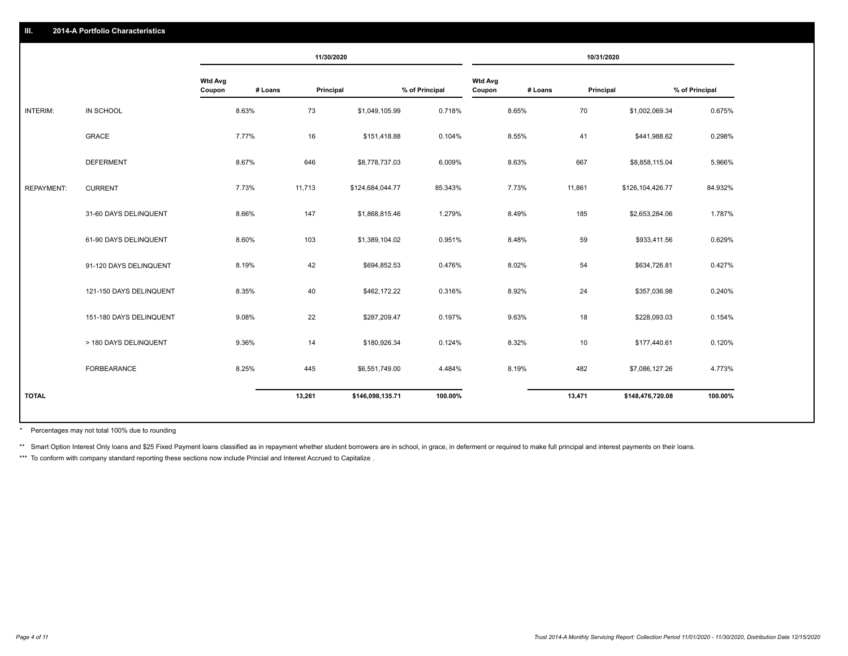|                   |                         |                          |         | 11/30/2020 |                  |                |                          |         | 10/31/2020 |                  |                |
|-------------------|-------------------------|--------------------------|---------|------------|------------------|----------------|--------------------------|---------|------------|------------------|----------------|
|                   |                         | <b>Wtd Avg</b><br>Coupon | # Loans | Principal  |                  | % of Principal | <b>Wtd Avg</b><br>Coupon | # Loans | Principal  |                  | % of Principal |
| INTERIM:          | IN SCHOOL               |                          | 8.63%   | 73         | \$1,049,105.99   | 0.718%         |                          | 8.65%   | 70         | \$1,002,069.34   | 0.675%         |
|                   | <b>GRACE</b>            |                          | 7.77%   | 16         | \$151,418.88     | 0.104%         |                          | 8.55%   | 41         | \$441,988.62     | 0.298%         |
|                   | <b>DEFERMENT</b>        |                          | 8.67%   | 646        | \$8,778,737.03   | 6.009%         |                          | 8.63%   | 667        | \$8,858,115.04   | 5.966%         |
| <b>REPAYMENT:</b> | <b>CURRENT</b>          |                          | 7.73%   | 11,713     | \$124,684,044.77 | 85.343%        |                          | 7.73%   | 11,861     | \$126,104,426.77 | 84.932%        |
|                   | 31-60 DAYS DELINQUENT   |                          | 8.66%   | 147        | \$1,868,815.46   | 1.279%         |                          | 8.49%   | 185        | \$2,653,284.06   | 1.787%         |
|                   | 61-90 DAYS DELINQUENT   |                          | 8.60%   | 103        | \$1,389,104.02   | 0.951%         |                          | 8.48%   | 59         | \$933,411.56     | 0.629%         |
|                   | 91-120 DAYS DELINQUENT  |                          | 8.19%   | 42         | \$694,852.53     | 0.476%         |                          | 8.02%   | 54         | \$634,726.81     | 0.427%         |
|                   | 121-150 DAYS DELINQUENT |                          | 8.35%   | 40         | \$462,172.22     | 0.316%         |                          | 8.92%   | 24         | \$357,036.98     | 0.240%         |
|                   | 151-180 DAYS DELINQUENT |                          | 9.08%   | 22         | \$287,209.47     | 0.197%         |                          | 9.63%   | 18         | \$228,093.03     | 0.154%         |
|                   | > 180 DAYS DELINQUENT   |                          | 9.36%   | 14         | \$180,926.34     | 0.124%         |                          | 8.32%   | 10         | \$177,440.61     | 0.120%         |
|                   | FORBEARANCE             |                          | 8.25%   | 445        | \$6,551,749.00   | 4.484%         |                          | 8.19%   | 482        | \$7,086,127.26   | 4.773%         |
| <b>TOTAL</b>      |                         |                          |         | 13,261     | \$146,098,135.71 | 100.00%        |                          |         | 13,471     | \$148,476,720.08 | 100.00%        |
|                   |                         |                          |         |            |                  |                |                          |         |            |                  |                |

Percentages may not total 100% due to rounding \*

\*\* Smart Option Interest Only loans and \$25 Fixed Payment loans classified as in repayment whether student borrowers are in school, in grace, in deferment or required to make full principal and interest payments on their l

\*\*\* To conform with company standard reporting these sections now include Princial and Interest Accrued to Capitalize.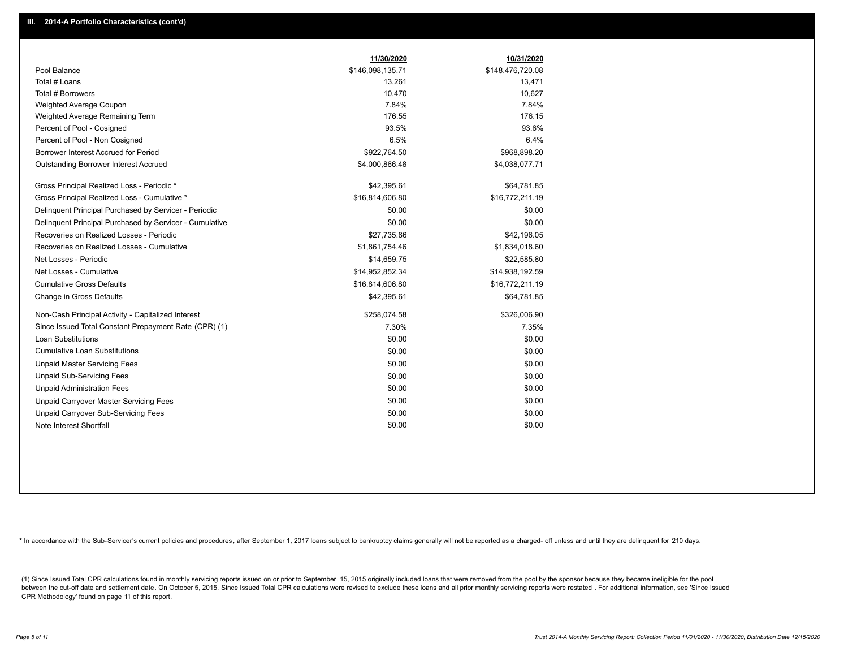|                                                         | 11/30/2020       | 10/31/2020       |
|---------------------------------------------------------|------------------|------------------|
| Pool Balance                                            | \$146,098,135.71 | \$148,476,720.08 |
| Total # Loans                                           | 13,261           | 13,471           |
| Total # Borrowers                                       | 10,470           | 10,627           |
| Weighted Average Coupon                                 | 7.84%            | 7.84%            |
| Weighted Average Remaining Term                         | 176.55           | 176.15           |
| Percent of Pool - Cosigned                              | 93.5%            | 93.6%            |
| Percent of Pool - Non Cosigned                          | 6.5%             | 6.4%             |
| Borrower Interest Accrued for Period                    | \$922,764.50     | \$968,898.20     |
| Outstanding Borrower Interest Accrued                   | \$4,000,866.48   | \$4,038,077.71   |
| Gross Principal Realized Loss - Periodic *              | \$42,395.61      | \$64,781.85      |
| Gross Principal Realized Loss - Cumulative *            | \$16,814,606.80  | \$16,772,211.19  |
| Delinguent Principal Purchased by Servicer - Periodic   | \$0.00           | \$0.00           |
| Delinquent Principal Purchased by Servicer - Cumulative | \$0.00           | \$0.00           |
| Recoveries on Realized Losses - Periodic                | \$27,735.86      | \$42,196.05      |
| Recoveries on Realized Losses - Cumulative              | \$1,861,754.46   | \$1,834,018.60   |
| Net Losses - Periodic                                   | \$14,659.75      | \$22,585.80      |
| Net Losses - Cumulative                                 | \$14,952,852.34  | \$14,938,192.59  |
| <b>Cumulative Gross Defaults</b>                        | \$16,814,606.80  | \$16,772,211.19  |
| Change in Gross Defaults                                | \$42,395.61      | \$64,781.85      |
| Non-Cash Principal Activity - Capitalized Interest      | \$258,074.58     | \$326,006.90     |
| Since Issued Total Constant Prepayment Rate (CPR) (1)   | 7.30%            | 7.35%            |
| Loan Substitutions                                      | \$0.00           | \$0.00           |
| <b>Cumulative Loan Substitutions</b>                    | \$0.00           | \$0.00           |
| <b>Unpaid Master Servicing Fees</b>                     | \$0.00           | \$0.00           |
| <b>Unpaid Sub-Servicing Fees</b>                        | \$0.00           | \$0.00           |
| <b>Unpaid Administration Fees</b>                       | \$0.00           | \$0.00           |
| Unpaid Carryover Master Servicing Fees                  | \$0.00           | \$0.00           |
| Unpaid Carryover Sub-Servicing Fees                     | \$0.00           | \$0.00           |
| Note Interest Shortfall                                 | \$0.00           | \$0.00           |

\* In accordance with the Sub-Servicer's current policies and procedures, after September 1, 2017 loans subject to bankruptcy claims generally will not be reported as a charged- off unless and until they are delinquent for

(1) Since Issued Total CPR calculations found in monthly servicing reports issued on or prior to September 15, 2015 originally included loans that were removed from the pool by the sponsor because they became ineligible fo between the cut-off date and settlement date. On October 5, 2015, Since Issued Total CPR calculations were revised to exclude these loans and all prior monthly servicing reports were restated. For additional information, s CPR Methodology' found on page 11 of this report.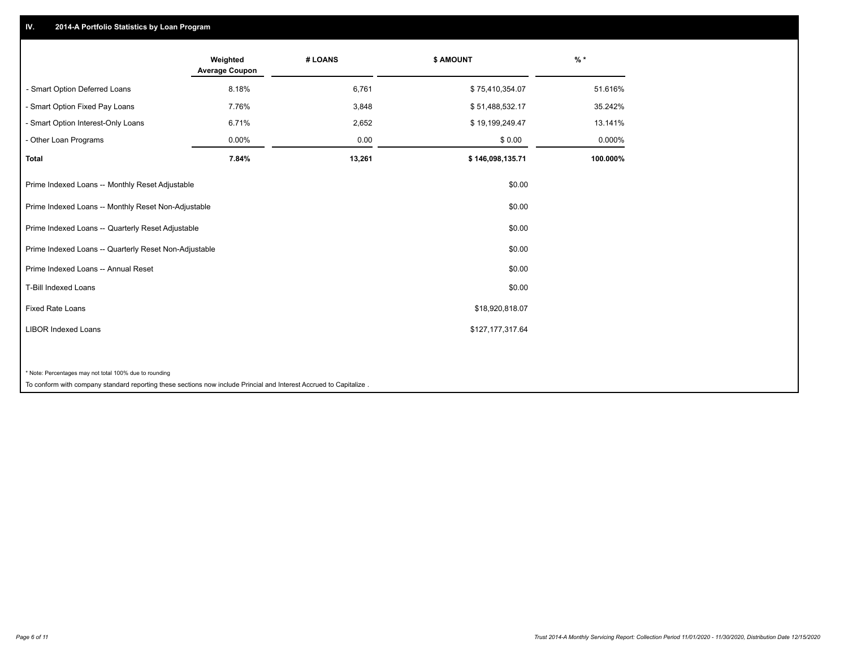## **IV. 2014-A Portfolio Statistics by Loan Program**

|                                                                                                                    | Weighted<br><b>Average Coupon</b> | # LOANS | <b>\$ AMOUNT</b> | $%$ *    |
|--------------------------------------------------------------------------------------------------------------------|-----------------------------------|---------|------------------|----------|
| - Smart Option Deferred Loans                                                                                      | 8.18%                             | 6,761   | \$75,410,354.07  | 51.616%  |
| - Smart Option Fixed Pay Loans                                                                                     | 7.76%                             | 3,848   | \$51,488,532.17  | 35.242%  |
| - Smart Option Interest-Only Loans                                                                                 | 6.71%                             | 2,652   | \$19,199,249.47  | 13.141%  |
| - Other Loan Programs                                                                                              | 0.00%                             | 0.00    | \$0.00           | 0.000%   |
| <b>Total</b>                                                                                                       | 7.84%                             | 13,261  | \$146,098,135.71 | 100.000% |
| Prime Indexed Loans -- Monthly Reset Adjustable                                                                    |                                   |         | \$0.00           |          |
| Prime Indexed Loans -- Monthly Reset Non-Adjustable                                                                |                                   |         | \$0.00           |          |
| Prime Indexed Loans -- Quarterly Reset Adjustable                                                                  |                                   |         | \$0.00           |          |
| Prime Indexed Loans -- Quarterly Reset Non-Adjustable                                                              |                                   |         | \$0.00           |          |
| Prime Indexed Loans -- Annual Reset                                                                                |                                   |         | \$0.00           |          |
| <b>T-Bill Indexed Loans</b>                                                                                        |                                   |         | \$0.00           |          |
| <b>Fixed Rate Loans</b>                                                                                            |                                   |         | \$18,920,818.07  |          |
| <b>LIBOR Indexed Loans</b>                                                                                         |                                   |         | \$127,177,317.64 |          |
|                                                                                                                    |                                   |         |                  |          |
| * Note: Percentages may not total 100% due to rounding                                                             |                                   |         |                  |          |
| To conform with company standard reporting these sections now include Princial and Interest Accrued to Capitalize. |                                   |         |                  |          |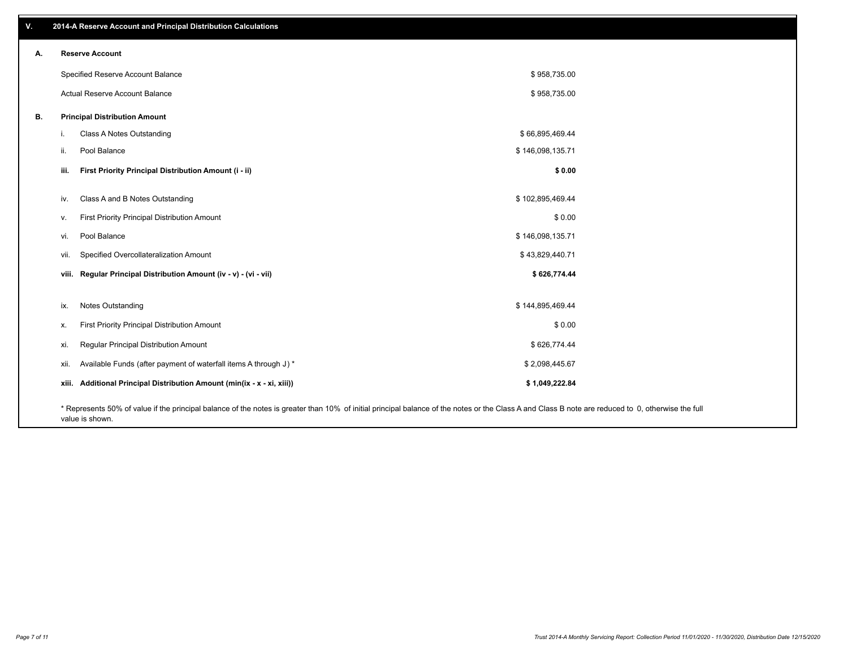| V. | 2014-A Reserve Account and Principal Distribution Calculations                                                                                                                                     |                  |  |
|----|----------------------------------------------------------------------------------------------------------------------------------------------------------------------------------------------------|------------------|--|
| А. | <b>Reserve Account</b>                                                                                                                                                                             |                  |  |
|    | Specified Reserve Account Balance                                                                                                                                                                  | \$958,735.00     |  |
|    | Actual Reserve Account Balance                                                                                                                                                                     | \$958,735.00     |  |
| В. | <b>Principal Distribution Amount</b>                                                                                                                                                               |                  |  |
|    | Class A Notes Outstanding<br>j.                                                                                                                                                                    | \$66,895,469.44  |  |
|    | Pool Balance<br>ii.                                                                                                                                                                                | \$146,098,135.71 |  |
|    | First Priority Principal Distribution Amount (i - ii)<br>iii.                                                                                                                                      | \$0.00           |  |
|    | Class A and B Notes Outstanding<br>iv.                                                                                                                                                             | \$102,895,469.44 |  |
|    | First Priority Principal Distribution Amount<br>V.                                                                                                                                                 | \$0.00           |  |
|    | Pool Balance<br>vi.                                                                                                                                                                                | \$146,098,135.71 |  |
|    | Specified Overcollateralization Amount<br>vii.                                                                                                                                                     | \$43,829,440.71  |  |
|    | viii. Regular Principal Distribution Amount (iv - v) - (vi - vii)                                                                                                                                  | \$626,774.44     |  |
|    |                                                                                                                                                                                                    |                  |  |
|    | Notes Outstanding<br>ix.                                                                                                                                                                           | \$144,895,469.44 |  |
|    | First Priority Principal Distribution Amount<br>Х.                                                                                                                                                 | \$0.00           |  |
|    | Regular Principal Distribution Amount<br>xi.                                                                                                                                                       | \$626,774.44     |  |
|    | Available Funds (after payment of waterfall items A through J) *<br>xii.                                                                                                                           | \$2,098,445.67   |  |
|    | xiii. Additional Principal Distribution Amount (min(ix - x - xi, xiii))                                                                                                                            | \$1,049,222.84   |  |
|    | * Represents 50% of value if the principal balance of the notes is greater than 10% of initial principal balance of the notes or the Class A and Class B note are reduced to 0, otherwise the full |                  |  |

value is shown.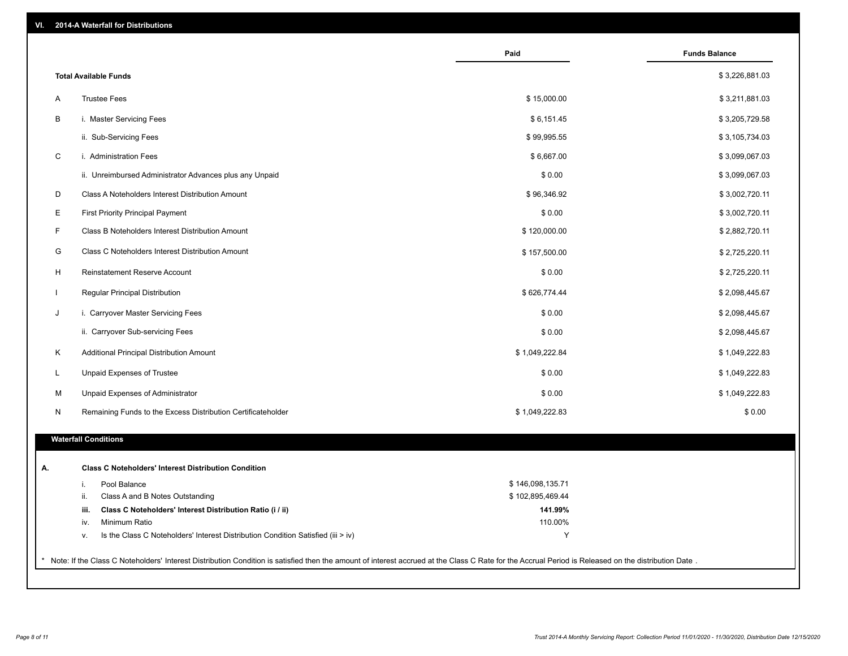|              |                                                                                                                                                                                                     | Paid             | <b>Funds Balance</b> |
|--------------|-----------------------------------------------------------------------------------------------------------------------------------------------------------------------------------------------------|------------------|----------------------|
|              | <b>Total Available Funds</b>                                                                                                                                                                        |                  | \$3,226,881.03       |
| Α            | <b>Trustee Fees</b>                                                                                                                                                                                 | \$15,000.00      | \$3,211,881.03       |
| B            | i. Master Servicing Fees                                                                                                                                                                            | \$6,151.45       | \$3,205,729.58       |
|              | ii. Sub-Servicing Fees                                                                                                                                                                              | \$99,995.55      | \$3,105,734.03       |
| C            | i. Administration Fees                                                                                                                                                                              | \$6,667.00       | \$3,099,067.03       |
|              | ii. Unreimbursed Administrator Advances plus any Unpaid                                                                                                                                             | \$0.00           | \$3,099,067.03       |
| D            | Class A Noteholders Interest Distribution Amount                                                                                                                                                    | \$96,346.92      | \$3,002,720.11       |
| Е            | First Priority Principal Payment                                                                                                                                                                    | \$0.00           | \$3,002,720.11       |
| F            | Class B Noteholders Interest Distribution Amount                                                                                                                                                    | \$120,000.00     | \$2,882,720.11       |
| G            | Class C Noteholders Interest Distribution Amount                                                                                                                                                    | \$157,500.00     | \$2,725,220.11       |
| H            | Reinstatement Reserve Account                                                                                                                                                                       | \$0.00           | \$2,725,220.11       |
| $\mathbf{I}$ | Regular Principal Distribution                                                                                                                                                                      | \$626,774.44     | \$2,098,445.67       |
| J            | i. Carryover Master Servicing Fees                                                                                                                                                                  | \$0.00           | \$2,098,445.67       |
|              | ii. Carryover Sub-servicing Fees                                                                                                                                                                    | \$0.00           | \$2,098,445.67       |
| Κ            | Additional Principal Distribution Amount                                                                                                                                                            | \$1,049,222.84   | \$1,049,222.83       |
| L.           | Unpaid Expenses of Trustee                                                                                                                                                                          | \$0.00           | \$1,049,222.83       |
| M            | Unpaid Expenses of Administrator                                                                                                                                                                    | \$0.00           | \$1,049,222.83       |
| N            | Remaining Funds to the Excess Distribution Certificateholder                                                                                                                                        | \$1,049,222.83   | \$0.00               |
|              | <b>Waterfall Conditions</b>                                                                                                                                                                         |                  |                      |
|              |                                                                                                                                                                                                     |                  |                      |
| А.           | <b>Class C Noteholders' Interest Distribution Condition</b>                                                                                                                                         |                  |                      |
|              | Pool Balance<br>i.                                                                                                                                                                                  | \$146,098,135.71 |                      |
|              | Class A and B Notes Outstanding<br>ii.                                                                                                                                                              | \$102,895,469.44 |                      |
|              | Class C Noteholders' Interest Distribution Ratio (i / ii)<br>iii.                                                                                                                                   | 141.99%          |                      |
|              | Minimum Ratio<br>iv.                                                                                                                                                                                | 110.00%          |                      |
|              | Is the Class C Noteholders' Interest Distribution Condition Satisfied (iii > iv)<br>v.                                                                                                              | Y                |                      |
|              | Note: If the Class C Noteholders' Interest Distribution Condition is satisfied then the amount of interest accrued at the Class C Rate for the Accrual Period is Released on the distribution Date. |                  |                      |
|              |                                                                                                                                                                                                     |                  |                      |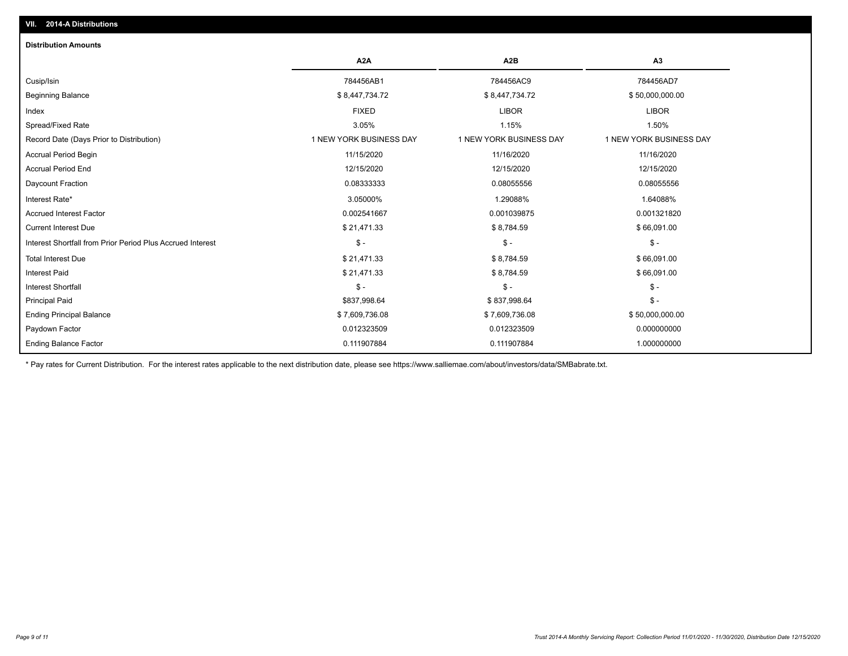| <b>Distribution Amounts</b>                                |                         |                         |                         |
|------------------------------------------------------------|-------------------------|-------------------------|-------------------------|
|                                                            | A <sub>2</sub> A        | A <sub>2</sub> B        | A3                      |
| Cusip/Isin                                                 | 784456AB1               | 784456AC9               | 784456AD7               |
| Beginning Balance                                          | \$8,447,734.72          | \$8,447,734.72          | \$50,000,000.00         |
| Index                                                      | <b>FIXED</b>            | <b>LIBOR</b>            | <b>LIBOR</b>            |
| Spread/Fixed Rate                                          | 3.05%                   | 1.15%                   | 1.50%                   |
| Record Date (Days Prior to Distribution)                   | 1 NEW YORK BUSINESS DAY | 1 NEW YORK BUSINESS DAY | 1 NEW YORK BUSINESS DAY |
| <b>Accrual Period Begin</b>                                | 11/15/2020              | 11/16/2020              | 11/16/2020              |
| <b>Accrual Period End</b>                                  | 12/15/2020              | 12/15/2020              | 12/15/2020              |
| Daycount Fraction                                          | 0.08333333              | 0.08055556              | 0.08055556              |
| Interest Rate*                                             | 3.05000%                | 1.29088%                | 1.64088%                |
| <b>Accrued Interest Factor</b>                             | 0.002541667             | 0.001039875             | 0.001321820             |
| <b>Current Interest Due</b>                                | \$21,471.33             | \$8,784.59              | \$66,091.00             |
| Interest Shortfall from Prior Period Plus Accrued Interest | $$ -$                   | $\mathsf{\$}$ -         | $\mathsf{\$}$ -         |
| <b>Total Interest Due</b>                                  | \$21,471.33             | \$8,784.59              | \$66,091.00             |
| <b>Interest Paid</b>                                       | \$21,471.33             | \$8,784.59              | \$66,091.00             |
| <b>Interest Shortfall</b>                                  | $$ -$                   | $$ -$                   | $$ -$                   |
| <b>Principal Paid</b>                                      | \$837,998.64            | \$837,998.64            | $$ -$                   |
| <b>Ending Principal Balance</b>                            | \$7,609,736.08          | \$7,609,736.08          | \$50,000,000.00         |
| Paydown Factor                                             | 0.012323509             | 0.012323509             | 0.000000000             |
| <b>Ending Balance Factor</b>                               | 0.111907884             | 0.111907884             | 1.000000000             |

\* Pay rates for Current Distribution. For the interest rates applicable to the next distribution date, please see https://www.salliemae.com/about/investors/data/SMBabrate.txt.

**VII. 2014-A Distributions**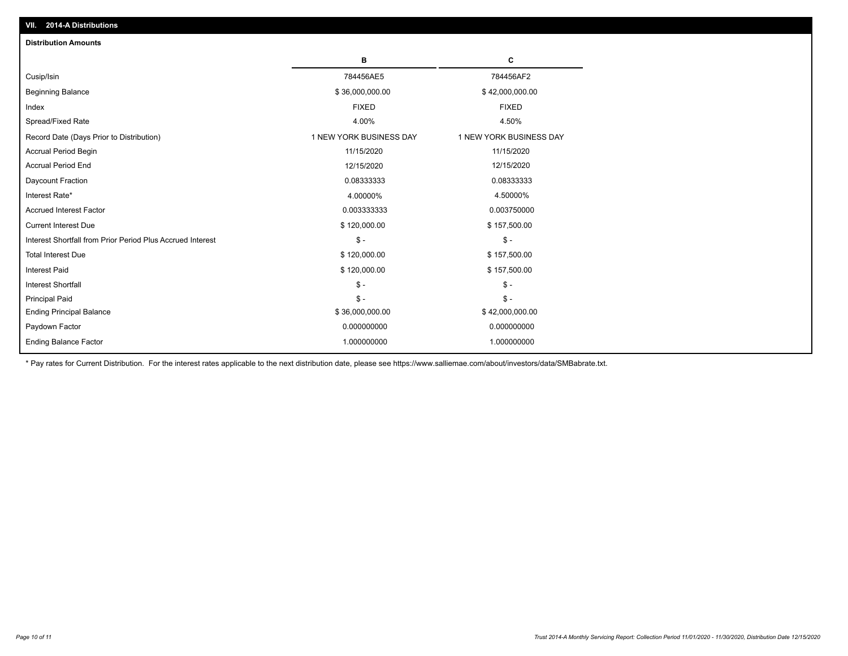| <b>Distribution Amounts</b>                                |                         |                         |
|------------------------------------------------------------|-------------------------|-------------------------|
|                                                            | в                       | C                       |
| Cusip/Isin                                                 | 784456AE5               | 784456AF2               |
| <b>Beginning Balance</b>                                   | \$36,000,000.00         | \$42,000,000.00         |
| Index                                                      | <b>FIXED</b>            | <b>FIXED</b>            |
| Spread/Fixed Rate                                          | 4.00%                   | 4.50%                   |
| Record Date (Days Prior to Distribution)                   | 1 NEW YORK BUSINESS DAY | 1 NEW YORK BUSINESS DAY |
| <b>Accrual Period Begin</b>                                | 11/15/2020              | 11/15/2020              |
| <b>Accrual Period End</b>                                  | 12/15/2020              | 12/15/2020              |
| Daycount Fraction                                          | 0.08333333              | 0.08333333              |
| Interest Rate*                                             | 4.00000%                | 4.50000%                |
| <b>Accrued Interest Factor</b>                             | 0.003333333             | 0.003750000             |
| <b>Current Interest Due</b>                                | \$120,000.00            | \$157,500.00            |
| Interest Shortfall from Prior Period Plus Accrued Interest | $\mathsf{\$}$ -         | $\mathsf{\$}$ -         |
| <b>Total Interest Due</b>                                  | \$120,000.00            | \$157,500.00            |
| <b>Interest Paid</b>                                       | \$120,000.00            | \$157,500.00            |
| <b>Interest Shortfall</b>                                  | $\mathcal{S}$ -         | $\frac{1}{2}$           |
| <b>Principal Paid</b>                                      | $\mathsf{\$}$ -         | $$ -$                   |
| <b>Ending Principal Balance</b>                            | \$36,000,000.00         | \$42,000,000.00         |
| Paydown Factor                                             | 0.000000000             | 0.000000000             |
| <b>Ending Balance Factor</b>                               | 1.000000000             | 1.000000000             |

\* Pay rates for Current Distribution. For the interest rates applicable to the next distribution date, please see https://www.salliemae.com/about/investors/data/SMBabrate.txt.

**VII. 2014-A Distributions**